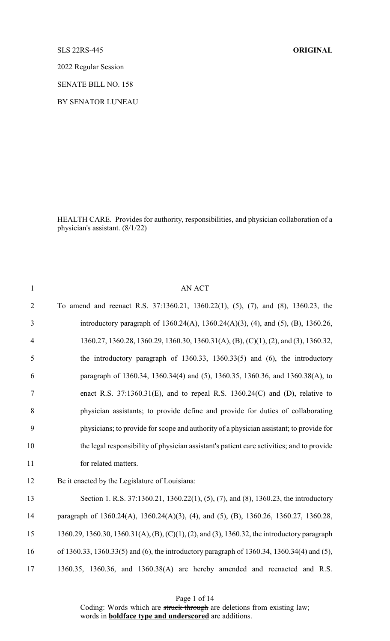## SLS 22RS-445 **ORIGINAL**

2022 Regular Session

SENATE BILL NO. 158

BY SENATOR LUNEAU

HEALTH CARE. Provides for authority, responsibilities, and physician collaboration of a physician's assistant. (8/1/22)

| $\mathbf{1}$   | AN ACT                                                                                       |
|----------------|----------------------------------------------------------------------------------------------|
| $\overline{2}$ | To amend and reenact R.S. 37:1360.21, 1360.22(1), (5), (7), and (8), 1360.23, the            |
| 3              | introductory paragraph of 1360.24(A), 1360.24(A)(3), (4), and (5), (B), 1360.26,             |
| $\overline{4}$ | 1360.27, 1360.28, 1360.29, 1360.30, 1360.31(A), (B), (C)(1), (2), and (3), 1360.32,          |
| 5              | the introductory paragraph of 1360.33, 1360.33(5) and $(6)$ , the introductory               |
| 6              | paragraph of 1360.34, 1360.34(4) and (5), 1360.35, 1360.36, and 1360.38(A), to               |
| $\tau$         | enact R.S. $37:1360.31(E)$ , and to repeal R.S. $1360.24(C)$ and (D), relative to            |
| 8              | physician assistants; to provide define and provide for duties of collaborating              |
| 9              | physicians; to provide for scope and authority of a physician assistant; to provide for      |
| 10             | the legal responsibility of physician assistant's patient care activities; and to provide    |
| 11             | for related matters.                                                                         |
| 12             | Be it enacted by the Legislature of Louisiana:                                               |
| 13             | Section 1. R.S. 37:1360.21, 1360.22(1), (5), (7), and (8), 1360.23, the introductory         |
| 14             | paragraph of 1360.24(A), 1360.24(A)(3), (4), and (5), (B), 1360.26, 1360.27, 1360.28,        |
| 15             | 1360.29, 1360.30, 1360.31(A), (B), (C)(1), (2), and (3), 1360.32, the introductory paragraph |
| 16             | of 1360.33, 1360.33(5) and (6), the introductory paragraph of 1360.34, 1360.34(4) and (5),   |
| 17             | 1360.35, 1360.36, and 1360.38(A) are hereby amended and reenacted and R.S.                   |

Page 1 of 14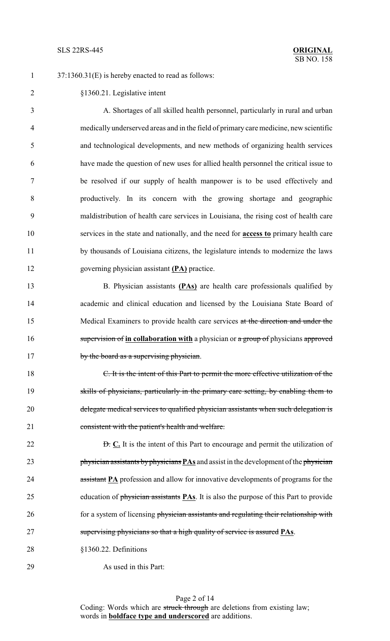1 37:1360.31(E) is hereby enacted to read as follows:

 §1360.21. Legislative intent A. Shortages of all skilled health personnel, particularly in rural and urban medically underserved areas and in the field of primary care medicine, new scientific and technological developments, and new methods of organizing health services have made the question of new uses for allied health personnel the critical issue to be resolved if our supply of health manpower is to be used effectively and productively. In its concern with the growing shortage and geographic maldistribution of health care services in Louisiana, the rising cost of health care services in the state and nationally, and the need for **access to** primary health care by thousands of Louisiana citizens, the legislature intends to modernize the laws governing physician assistant **(PA)** practice. B. Physician assistants **(PAs)** are health care professionals qualified by academic and clinical education and licensed by the Louisiana State Board of Medical Examiners to provide health care services at the direction and under the 16 supervision of in collaboration with a physician or a group of physicians approved 17 by the board as a supervising physician. C. It is the intent of this Part to permit the more effective utilization of the skills of physicians, particularly in the primary care setting, by enabling them to 20 delegate medical services to qualified physician assistants when such delegation is consistent with the patient's health and welfare. **D.** C. It is the intent of this Part to encourage and permit the utilization of physician assistants byphysicians **PAs** and assist in the development of the physician 24 assistant **PA** profession and allow for innovative developments of programs for the education of physician assistants **PAs**. It is also the purpose of this Part to provide 26 for a system of licensing physician assistants and regulating their relationship with

- supervising physicians so that a high quality of service is assured **PAs**.
- §1360.22. Definitions
- As used in this Part: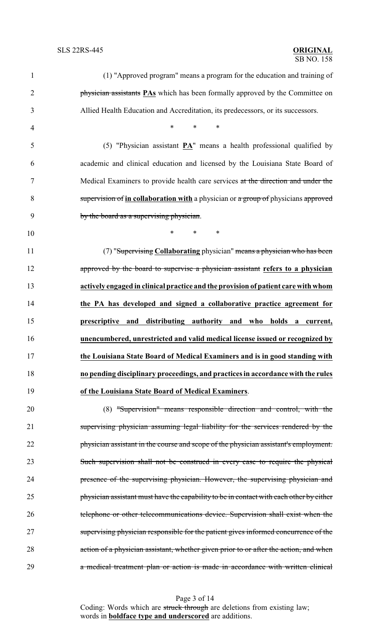| $\mathbf{1}$   | (1) "Approved program" means a program for the education and training of                |
|----------------|-----------------------------------------------------------------------------------------|
| $\overline{2}$ | physician assistants <b>PAs</b> which has been formally approved by the Committee on    |
| 3              | Allied Health Education and Accreditation, its predecessors, or its successors.         |
| $\overline{4}$ | $\ast$<br>*<br>$\ast$                                                                   |
| 5              | (5) "Physician assistant $\mathbf{PA}$ " means a health professional qualified by       |
| 6              | academic and clinical education and licensed by the Louisiana State Board of            |
| $\tau$         | Medical Examiners to provide health care services at the direction and under the        |
| 8              | supervision of in collaboration with a physician or a group of physicians approved      |
| 9              | by the board as a supervising physician.                                                |
| 10             | $\ast$<br>$\ast$<br>$\ast$                                                              |
| 11             | (7) "Supervising Collaborating physician" means a physician who has been                |
| 12             | approved by the board to supervise a physician assistant refers to a physician          |
| 13             | actively engaged in clinical practice and the provision of patient care with whom       |
| 14             | the PA has developed and signed a collaborative practice agreement for                  |
| 15             | prescriptive and distributing authority and who holds a current,                        |
| 16             | unencumbered, unrestricted and valid medical license issued or recognized by            |
| 17             | the Louisiana State Board of Medical Examiners and is in good standing with             |
| 18             | no pending disciplinary proceedings, and practices in accordance with the rules         |
| 19             | of the Louisiana State Board of Medical Examiners.                                      |
| 20             | (8) "Supervision" means responsible direction and control, with the                     |
| 21             | supervising physician assuming legal liability for the services rendered by the         |
| 22             | physician assistant in the course and scope of the physician assistant's employment.    |
| 23             | Such supervision shall not be construed in every case to require the physical           |
| 24             | presence of the supervising physician. However, the supervising physician and           |
| 25             | physician assistant must have the capability to be in contact with each other by either |
| 26             | telephone or other telecommunications device. Supervision shall exist when the          |
| 27             | supervising physician responsible for the patient gives informed concurrence of the     |
| 28             | action of a physician assistant, whether given prior to or after the action, and when   |
| 29             | a medical treatment plan or action is made in accordance with written clinical          |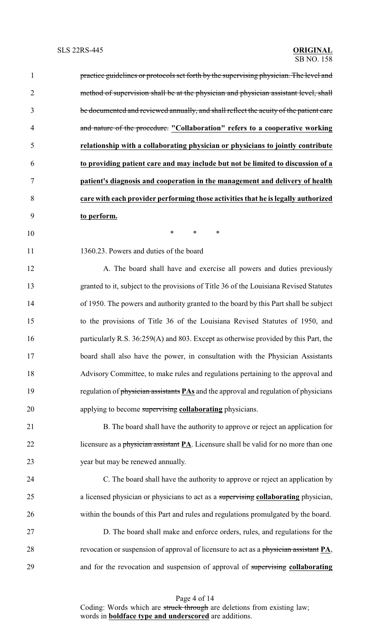| $\mathbf{1}$   | practice guidelines or protocols set forth by the supervising physician. The level and      |
|----------------|---------------------------------------------------------------------------------------------|
| $\overline{2}$ | method of supervision shall be at the physician and physician assistant level, shall        |
| 3              | be documented and reviewed annually, and shall reflect the acuity of the patient care       |
| $\overline{4}$ | and nature of the procedure. "Collaboration" refers to a cooperative working                |
| 5              | relationship with a collaborating physician or physicians to jointly contribute             |
| 6              | to providing patient care and may include but not be limited to discussion of a             |
| 7              | patient's diagnosis and cooperation in the management and delivery of health                |
| $8\,$          | care with each provider performing those activities that he is legally authorized           |
| 9              | to perform.                                                                                 |
| 10             | $\ast$<br>$\ast$<br>∗                                                                       |
| 11             | 1360.23. Powers and duties of the board                                                     |
| 12             | A. The board shall have and exercise all powers and duties previously                       |
| 13             | granted to it, subject to the provisions of Title 36 of the Louisiana Revised Statutes      |
| 14             | of 1950. The powers and authority granted to the board by this Part shall be subject        |
| 15             | to the provisions of Title 36 of the Louisiana Revised Statutes of 1950, and                |
| 16             | particularly R.S. 36:259(A) and 803. Except as otherwise provided by this Part, the         |
| 17             | board shall also have the power, in consultation with the Physician Assistants              |
| 18             | Advisory Committee, to make rules and regulations pertaining to the approval and            |
| 19             | regulation of physician assistants <b>PAs</b> and the approval and regulation of physicians |
| 20             | applying to become supervising collaborating physicians.                                    |
| 21             | B. The board shall have the authority to approve or reject an application for               |
| 22             | licensure as a physician assistant PA. Licensure shall be valid for no more than one        |
| 23             | year but may be renewed annually.                                                           |
| 24             | C. The board shall have the authority to approve or reject an application by                |
| 25             | a licensed physician or physicians to act as a supervising collaborating physician,         |
| 26             | within the bounds of this Part and rules and regulations promulgated by the board.          |
| 27             | D. The board shall make and enforce orders, rules, and regulations for the                  |
| 28             | revocation or suspension of approval of licensure to act as a physician assistant PA,       |
| 29             | and for the revocation and suspension of approval of supervising collaborating              |

Page 4 of 14 Coding: Words which are struck through are deletions from existing law; words in **boldface type and underscored** are additions.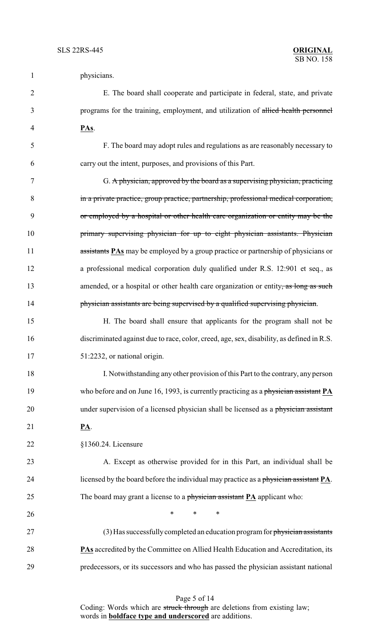| $\mathbf{1}$   | physicians.                                                                               |
|----------------|-------------------------------------------------------------------------------------------|
| $\overline{2}$ | E. The board shall cooperate and participate in federal, state, and private               |
| 3              | programs for the training, employment, and utilization of allied health personnel         |
| 4              | PAs.                                                                                      |
| 5              | F. The board may adopt rules and regulations as are reasonably necessary to               |
| 6              | carry out the intent, purposes, and provisions of this Part.                              |
| 7              | G. A physician, approved by the board as a supervising physician, practicing              |
| 8              | in a private practice, group practice, partnership, professional medical corporation,     |
| 9              | or employed by a hospital or other health care organization or entity may be the          |
| 10             | primary supervising physician for up to eight physician assistants. Physician             |
| 11             | assistants <b>PAs</b> may be employed by a group practice or partnership of physicians or |
| 12             | a professional medical corporation duly qualified under R.S. 12:901 et seq., as           |
| 13             | amended, or a hospital or other health care organization or entity, as long as such       |
| 14             | physician assistants are being supervised by a qualified supervising physician.           |
| 15             | H. The board shall ensure that applicants for the program shall not be                    |
| 16             | discriminated against due to race, color, creed, age, sex, disability, as defined in R.S. |
| 17             | 51:2232, or national origin.                                                              |
| 18             | I. Notwithstanding any other provision of this Part to the contrary, any person           |
| 19             | who before and on June 16, 1993, is currently practicing as a physician assistant PA      |
| 20             | under supervision of a licensed physician shall be licensed as a physician assistant      |
| 21             | <u>PA</u> .                                                                               |
| 22             | §1360.24. Licensure                                                                       |
| 23             | A. Except as otherwise provided for in this Part, an individual shall be                  |
| 24             | licensed by the board before the individual may practice as a physician assistant PA.     |
| 25             | The board may grant a license to a physician assistant $PA$ applicant who:                |
| 26             | *<br>*<br>$\ast$                                                                          |
| 27             | (3) Has successfully completed an education program for physician assistants              |
| 28             | PAs accredited by the Committee on Allied Health Education and Accreditation, its         |
| 29             | predecessors, or its successors and who has passed the physician assistant national       |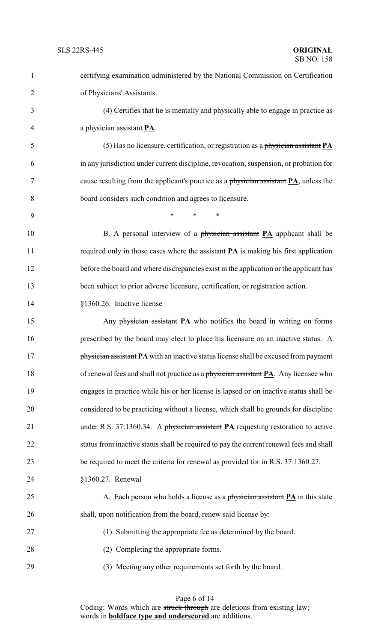certifying examination administered by the National Commission on Certification of Physicians' Assistants. (4) Certifies that he is mentally and physically able to engage in practice as a physician assistant **PA**. (5) Has no licensure, certification, or registration as a physician assistant **PA** in any jurisdiction under current discipline, revocation, suspension, or probation for cause resulting from the applicant's practice as a physician assistant **PA**, unless the board considers such condition and agrees to licensure. \* \* \* 10 B. A personal interview of a physician assistant **PA** applicant shall be 11 required only in those cases where the assistant **PA** is making his first application 12 before the board and where discrepancies exist in the application or the applicant has been subject to prior adverse licensure, certification, or registration action. §1360.26. Inactive license 15 Any physician assistant **PA** who notifies the board in writing on forms prescribed by the board may elect to place his licensure on an inactive status. A **physician assistant PA** with an inactive status license shall be excused from payment of renewal fees and shall not practice as a physician assistant **PA**. Any licensee who engages in practice while his or her license is lapsed or on inactive status shall be considered to be practicing without a license, which shall be grounds for discipline under R.S. 37:1360.34. A physician assistant **PA** requesting restoration to active status from inactive status shall be required to pay the current renewal fees and shall be required to meet the criteria for renewal as provided for in R.S. 37:1360.27. §1360.27. Renewal 25 A. Each person who holds a license as a physician assistant **PA** in this state shall, upon notification from the board, renew said license by: (1) Submitting the appropriate fee as determined by the board. 28 (2) Completing the appropriate forms. (3) Meeting any other requirements set forth by the board.

Page 6 of 14 Coding: Words which are struck through are deletions from existing law; words in **boldface type and underscored** are additions.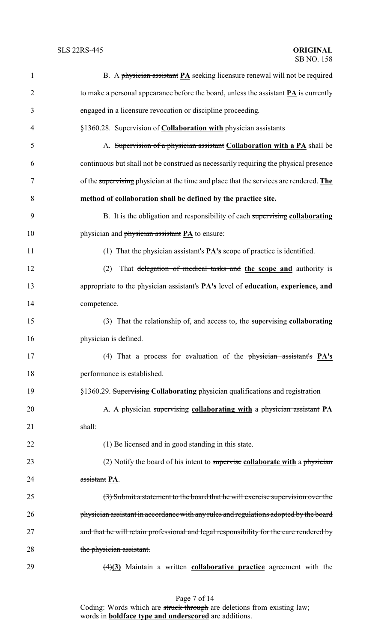| $\mathbf{1}$   | B. A physician assistant $PA$ seeking licensure renewal will not be required                             |
|----------------|----------------------------------------------------------------------------------------------------------|
| $\overline{2}$ | to make a personal appearance before the board, unless the $\frac{1}{2}$ is currently                    |
| 3              | engaged in a licensure revocation or discipline proceeding.                                              |
| $\overline{4}$ | §1360.28. Supervision of Collaboration with physician assistants                                         |
| 5              | A. Supervision of a physician assistant Collaboration with a PA shall be                                 |
| 6              | continuous but shall not be construed as necessarily requiring the physical presence                     |
| 7              | of the supervising physician at the time and place that the services are rendered. The                   |
| 8              | method of collaboration shall be defined by the practice site.                                           |
| 9              | B. It is the obligation and responsibility of each supervising collaborating                             |
| 10             | physician and <i>physician</i> assistant <b>PA</b> to ensure:                                            |
| 11             | (1) That the physician assistant's $PA's$ scope of practice is identified.                               |
| 12             | That delegation of medical tasks and the scope and authority is<br>(2)                                   |
| 13             | appropriate to the physician assistant's <b>PA's</b> level of <b>education</b> , <b>experience</b> , and |
| 14             | competence.                                                                                              |
| 15             | (3) That the relationship of, and access to, the supervising collaborating                               |
| 16             | physician is defined.                                                                                    |
| 17             | (4) That a process for evaluation of the physician assistant's PA's                                      |
| 18             | performance is established.                                                                              |
| 19             | §1360.29. Supervising Collaborating physician qualifications and registration                            |
| 20             | A. A physician supervising collaborating with a physician assistant PA                                   |
| 21             | shall:                                                                                                   |
| 22             | (1) Be licensed and in good standing in this state.                                                      |
| 23             | (2) Notify the board of his intent to supervise collaborate with a physician                             |
| 24             | assistant PA.                                                                                            |
| 25             | (3) Submit a statement to the board that he will exercise supervision over the                           |
| 26             | physician assistant in accordance with any rules and regulations adopted by the board                    |
| 27             | and that he will retain professional and legal responsibility for the care rendered by                   |
| 28             | the physician assistant.                                                                                 |
| 29             | $\left(\frac{4}{3}\right)$ Maintain a written <b>collaborative practice</b> agreement with the           |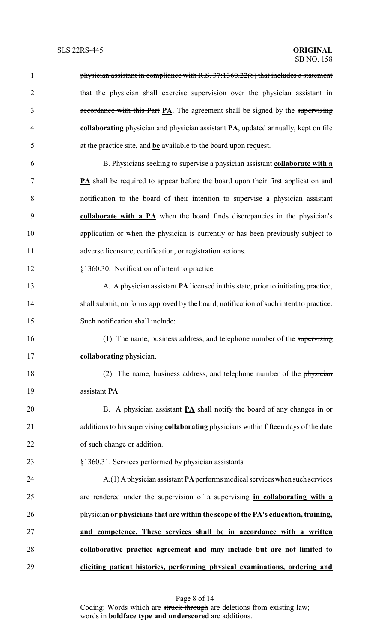| 1              | physician assistant in compliance with R.S. 37:1360.22(8) that includes a statement     |
|----------------|-----------------------------------------------------------------------------------------|
| $\overline{2}$ | that the physician shall exercise supervision over the physician assistant in           |
| 3              | accordance with this Part PA. The agreement shall be signed by the supervising          |
| $\overline{4}$ | collaborating physician and physician assistant PA, updated annually, kept on file      |
| 5              | at the practice site, and be available to the board upon request.                       |
| 6              | B. Physicians seeking to supervise a physician assistant collaborate with a             |
| 7              | <b>PA</b> shall be required to appear before the board upon their first application and |
| 8              | notification to the board of their intention to supervise a physician assistant         |
| 9              | collaborate with a PA when the board finds discrepancies in the physician's             |
| 10             | application or when the physician is currently or has been previously subject to        |
| 11             | adverse licensure, certification, or registration actions.                              |
| 12             | §1360.30. Notification of intent to practice                                            |
| 13             | A. A physician assistant $PA$ licensed in this state, prior to initiating practice,     |
| 14             | shall submit, on forms approved by the board, notification of such intent to practice.  |
| 15             | Such notification shall include:                                                        |
| 16             | (1) The name, business address, and telephone number of the supervising                 |
| 17             | collaborating physician.                                                                |
| 18             | (2) The name, business address, and telephone number of the physician                   |
| 19             | assistant PA.                                                                           |
| 20             | B. A physician assistant $PA$ shall notify the board of any changes in or               |
| 21             | additions to his supervising collaborating physicians within fifteen days of the date   |
| 22             | of such change or addition.                                                             |
| 23             | §1360.31. Services performed by physician assistants                                    |
| 24             | $A(1)$ A physician assistant PA performs medical services when such services            |
| 25             | are rendered under the supervision of a supervising in collaborating with a             |
| 26             | physician or physicians that are within the scope of the PA's education, training,      |
| 27             | and competence. These services shall be in accordance with a written                    |
| 28             | collaborative practice agreement and may include but are not limited to                 |
| 29             | eliciting patient histories, performing physical examinations, ordering and             |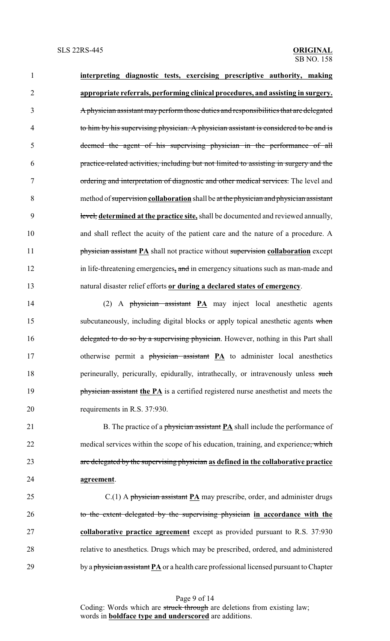**interpreting diagnostic tests, exercising prescriptive authority, making appropriate referrals, performing clinical procedures, and assisting in surgery.** A physician assistant mayperform those duties and responsibilities that are delegated to him by his supervising physician. A physician assistant is considered to be and is deemed the agent of his supervising physician in the performance of all practice-related activities, including but not limited to assisting in surgery and the 7 ordering and interpretation of diagnostic and other medical services. The level and method of supervision **collaboration** shall be at the physician and physician assistant level, **determined at the practice site,** shall be documented and reviewed annually, and shall reflect the acuity of the patient care and the nature of a procedure. A **physician assistant PA** shall not practice without supervision **collaboration** except in life-threatening emergencies**,** and in emergency situations such as man-made and natural disaster relief efforts **or during a declared states of emergency**.

 (2) A physician assistant **PA** may inject local anesthetic agents 15 subcutaneously, including digital blocks or apply topical anesthetic agents when 16 delegated to do so by a supervising physician. However, nothing in this Part shall 17 otherwise permit a physician assistant **PA** to administer local anesthetics 18 perineurally, pericurally, epidurally, intrathecally, or intravenously unless such **physician assistant the PA** is a certified registered nurse anesthetist and meets the requirements in R.S. 37:930.

21 B. The practice of a physician assistant **PA** shall include the performance of 22 medical services within the scope of his education, training, and experience, which are delegated by the supervising physician **as defined in the collaborative practice agreement**.

 C.(1) A physician assistant **PA** may prescribe, order, and administer drugs to the extent delegated by the supervising physician **in accordance with the collaborative practice agreement** except as provided pursuant to R.S. 37:930 relative to anesthetics. Drugs which may be prescribed, ordered, and administered 29 by a physician assistant **PA** or a health care professional licensed pursuant to Chapter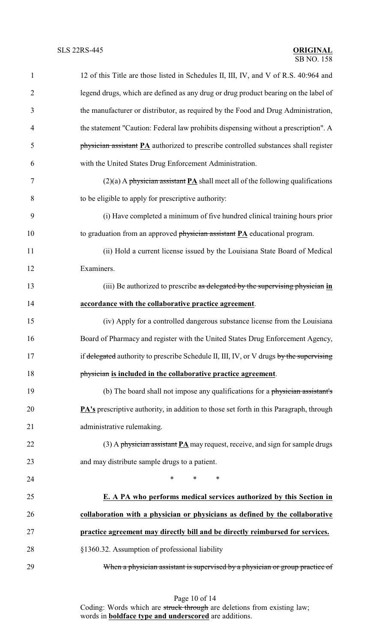| $\mathbf{1}$   | 12 of this Title are those listed in Schedules II, III, IV, and V of R.S. 40:964 and          |
|----------------|-----------------------------------------------------------------------------------------------|
| $\overline{2}$ | legend drugs, which are defined as any drug or drug product bearing on the label of           |
| 3              | the manufacturer or distributor, as required by the Food and Drug Administration,             |
| 4              | the statement "Caution: Federal law prohibits dispensing without a prescription". A           |
| 5              | physician assistant PA authorized to prescribe controlled substances shall register           |
| 6              | with the United States Drug Enforcement Administration.                                       |
| 7              | $(2)(a)$ A physician assistant <b>PA</b> shall meet all of the following qualifications       |
| 8              | to be eligible to apply for prescriptive authority:                                           |
| 9              | (i) Have completed a minimum of five hundred clinical training hours prior                    |
| 10             | to graduation from an approved $phy\overline{sician}$ assistant $PA$ educational program.     |
| 11             | (ii) Hold a current license issued by the Louisiana State Board of Medical                    |
| 12             | Examiners.                                                                                    |
| 13             | (iii) Be authorized to prescribe as delegated by the supervising physician in                 |
| 14             | accordance with the collaborative practice agreement.                                         |
| 15             | (iv) Apply for a controlled dangerous substance license from the Louisiana                    |
| 16             | Board of Pharmacy and register with the United States Drug Enforcement Agency,                |
| 17             | if delegated authority to prescribe Schedule II, III, IV, or V drugs by the supervising       |
| 18             | physician is included in the collaborative practice agreement.                                |
| 19             | (b) The board shall not impose any qualifications for a physician assistant's                 |
| 20             | <b>PA's</b> prescriptive authority, in addition to those set forth in this Paragraph, through |
| 21             | administrative rulemaking.                                                                    |
| 22             | $(3)$ A physician assistant <b>PA</b> may request, receive, and sign for sample drugs         |
| 23             | and may distribute sample drugs to a patient.                                                 |
| 24             | *<br>$\ast$<br>$\ast$                                                                         |
| 25             | E. A PA who performs medical services authorized by this Section in                           |
| 26             | collaboration with a physician or physicians as defined by the collaborative                  |
| 27             | practice agreement may directly bill and be directly reimbursed for services.                 |
| 28             | §1360.32. Assumption of professional liability                                                |
| 29             | When a physician assistant is supervised by a physician or group practice of                  |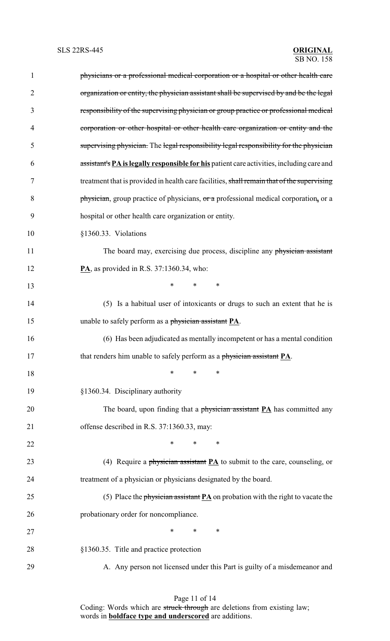| $\mathbf{1}$   | physicians or a professional medical corporation or a hospital or other health care         |
|----------------|---------------------------------------------------------------------------------------------|
| $\overline{2}$ | organization or entity, the physician assistant shall be supervised by and be the legal     |
| 3              | responsibility of the supervising physician or group practice or professional medical       |
| 4              | corporation or other hospital or other health care organization or entity and the           |
| 5              | supervising physician. The legal responsibility legal responsibility for the physician      |
| 6              | assistant's PA is legally responsible for his patient care activities, including care and   |
| 7              | treatment that is provided in health care facilities, shall remain that of the supervising  |
| 8              | physician, group practice of physicians, or a professional medical corporation, or a        |
| 9              | hospital or other health care organization or entity.                                       |
| 10             | §1360.33. Violations                                                                        |
| 11             | The board may, exercising due process, discipline any physician assistant                   |
| 12             | $\mathbf{PA}$ , as provided in R.S. 37:1360.34, who:                                        |
| 13             | $\ast$<br>*<br>∗                                                                            |
| 14             | (5) Is a habitual user of intoxicants or drugs to such an extent that he is                 |
| 15             | unable to safely perform as a physician assistant PA.                                       |
| 16             | (6) Has been adjudicated as mentally incompetent or has a mental condition                  |
| 17             | that renders him unable to safely perform as a physician assistant PA.                      |
| 18             | *<br>∗<br>∗                                                                                 |
| 19             | §1360.34. Disciplinary authority                                                            |
| 20             | The board, upon finding that a physician assistant $PA$ has committed any                   |
| 21             | offense described in R.S. 37:1360.33, may:                                                  |
| 22             | $\ast$<br>$\ast$<br>∗                                                                       |
| 23             | (4) Require a physician assistant $PA$ to submit to the care, counseling, or                |
| 24             | treatment of a physician or physicians designated by the board.                             |
| 25             | (5) Place the physician assistant $\overline{PA}$ on probation with the right to vacate the |
| 26             | probationary order for noncompliance.                                                       |
| 27             | $\ast$<br>$\ast$<br>∗                                                                       |
| 28             | §1360.35. Title and practice protection                                                     |
| 29             | A. Any person not licensed under this Part is guilty of a misdemeanor and                   |
|                |                                                                                             |

Page 11 of 14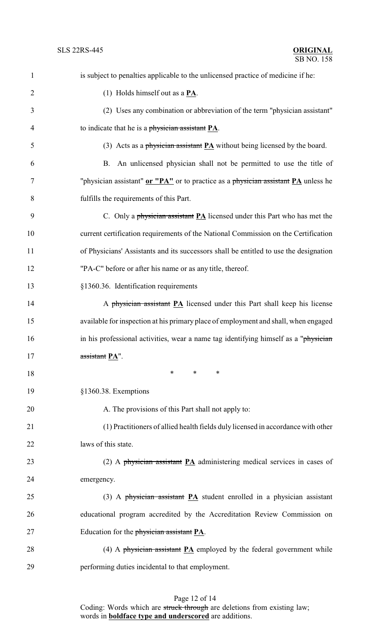| $\mathbf{1}$   | is subject to penalties applicable to the unlicensed practice of medicine if he:      |
|----------------|---------------------------------------------------------------------------------------|
| $\overline{2}$ | (1) Holds himself out as a $PA$ .                                                     |
| 3              | (2) Uses any combination or abbreviation of the term "physician assistant"            |
| $\overline{4}$ | to indicate that he is a physician assistant PA.                                      |
| 5              | (3) Acts as a physician assistant $PA$ without being licensed by the board.           |
| 6              | B. An unlicensed physician shall not be permitted to use the title of                 |
| $\tau$         | "physician assistant" or "PA" or to practice as a physician assistant PA unless he    |
| 8              | fulfills the requirements of this Part.                                               |
| 9              | C. Only a physician assistant $PA$ licensed under this Part who has met the           |
| 10             | current certification requirements of the National Commission on the Certification    |
| 11             | of Physicians' Assistants and its successors shall be entitled to use the designation |
| 12             | "PA-C" before or after his name or as any title, thereof.                             |
| 13             | §1360.36. Identification requirements                                                 |
| 14             | A physician assistant PA licensed under this Part shall keep his license              |
| 15             | available for inspection at his primary place of employment and shall, when engaged   |
| 16             | in his professional activities, wear a name tag identifying himself as a "physician"  |
| 17             | assistant PA".                                                                        |
| 18             | $\ast$<br>$\ast$<br>∗                                                                 |
| 19             | §1360.38. Exemptions                                                                  |
| 20             | A. The provisions of this Part shall not apply to:                                    |
| 21             | (1) Practitioners of allied health fields duly licensed in accordance with other      |
| 22             | laws of this state.                                                                   |
| 23             | (2) A physician assistant $PA$ administering medical services in cases of             |
| 24             | emergency.                                                                            |
| 25             | (3) A physician assistant $PA$ student enrolled in a physician assistant              |
| 26             | educational program accredited by the Accreditation Review Commission on              |
| 27             | Education for the <i>physician assistant</i> PA.                                      |
| 28             | (4) A physician assistant $\underline{PA}$ employed by the federal government while   |
| 29             | performing duties incidental to that employment.                                      |

## Page 12 of 14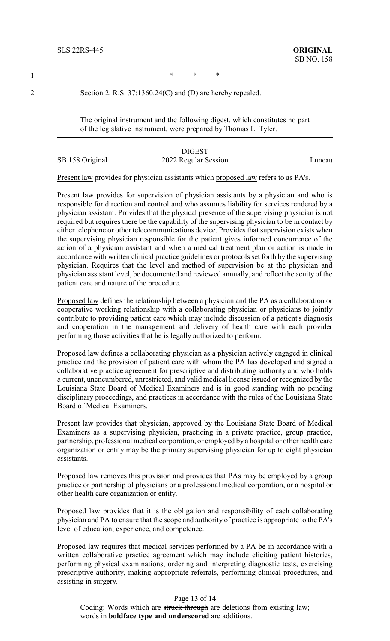1 \* \* \* \*

2 Section 2. R.S. 37:1360.24(C) and (D) are hereby repealed.

The original instrument and the following digest, which constitutes no part of the legislative instrument, were prepared by Thomas L. Tyler.

DIGEST SB 158 Original 2022 Regular Session Luneau

Present law provides for physician assistants which proposed law refers to as PA's.

Present law provides for supervision of physician assistants by a physician and who is responsible for direction and control and who assumes liability for services rendered by a physician assistant. Provides that the physical presence of the supervising physician is not required but requires there be the capability of the supervising physician to be in contact by either telephone or other telecommunications device. Provides that supervision exists when the supervising physician responsible for the patient gives informed concurrence of the action of a physician assistant and when a medical treatment plan or action is made in accordance with written clinical practice guidelines or protocols set forth by the supervising physician. Requires that the level and method of supervision be at the physician and physician assistant level, be documented and reviewed annually, and reflect the acuity of the patient care and nature of the procedure.

Proposed law defines the relationship between a physician and the PA as a collaboration or cooperative working relationship with a collaborating physician or physicians to jointly contribute to providing patient care which may include discussion of a patient's diagnosis and cooperation in the management and delivery of health care with each provider performing those activities that he is legally authorized to perform.

Proposed law defines a collaborating physician as a physician actively engaged in clinical practice and the provision of patient care with whom the PA has developed and signed a collaborative practice agreement for prescriptive and distributing authority and who holds a current, unencumbered, unrestricted, and valid medical license issued or recognized by the Louisiana State Board of Medical Examiners and is in good standing with no pending disciplinary proceedings, and practices in accordance with the rules of the Louisiana State Board of Medical Examiners.

Present law provides that physician, approved by the Louisiana State Board of Medical Examiners as a supervising physician, practicing in a private practice, group practice, partnership, professional medical corporation, or employed by a hospital or other health care organization or entity may be the primary supervising physician for up to eight physician assistants.

Proposed law removes this provision and provides that PAs may be employed by a group practice or partnership of physicians or a professional medical corporation, or a hospital or other health care organization or entity.

Proposed law provides that it is the obligation and responsibility of each collaborating physician and PA to ensure that the scope and authority of practice is appropriate to the PA's level of education, experience, and competence.

Proposed law requires that medical services performed by a PA be in accordance with a written collaborative practice agreement which may include eliciting patient histories, performing physical examinations, ordering and interpreting diagnostic tests, exercising prescriptive authority, making appropriate referrals, performing clinical procedures, and assisting in surgery.